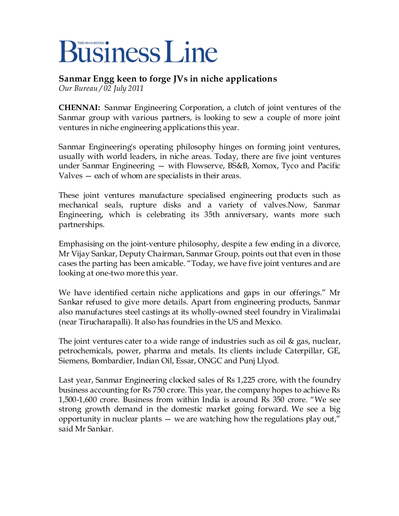## **Business Line**

## **Sanmar Engg keen to forge JVs in niche applications** *Our Bureau / 02 July 2011*

**CHENNAI:** Sanmar Engineering Corporation, a clutch of joint ventures of the Sanmar group with various partners, is looking to sew a couple of more joint ventures in niche engineering applications this year.

Sanmar Engineering's operating philosophy hinges on forming joint ventures, usually with world leaders, in niche areas. Today, there are five joint ventures under Sanmar Engineering — with Flowserve, BS&B, Xomox, Tyco and Pacific Valves — each of whom are specialists in their areas.

These joint ventures manufacture specialised engineering products such as mechanical seals, rupture disks and a variety of valves.Now, Sanmar Engineering, which is celebrating its 35th anniversary, wants more such partnerships.

Emphasising on the joint-venture philosophy, despite a few ending in a divorce, Mr Vijay Sankar, Deputy Chairman, Sanmar Group, points out that even in those cases the parting has been amicable. "Today, we have five joint ventures and are looking at one-two more this year.

We have identified certain niche applications and gaps in our offerings." Mr Sankar refused to give more details. Apart from engineering products, Sanmar also manufactures steel castings at its wholly-owned steel foundry in Viralimalai (near Tirucharapalli). It also has foundries in the US and Mexico.

The joint ventures cater to a wide range of industries such as oil & gas, nuclear, petrochemicals, power, pharma and metals. Its clients include Caterpillar, GE, Siemens, Bombardier, Indian Oil, Essar, ONGC and Punj Llyod.

Last year, Sanmar Engineering clocked sales of Rs 1,225 crore, with the foundry business accounting for Rs 750 crore. This year, the company hopes to achieve Rs 1,500-1,600 crore. Business from within India is around Rs 350 crore. "We see strong growth demand in the domestic market going forward. We see a big opportunity in nuclear plants — we are watching how the regulations play out," said Mr Sankar.